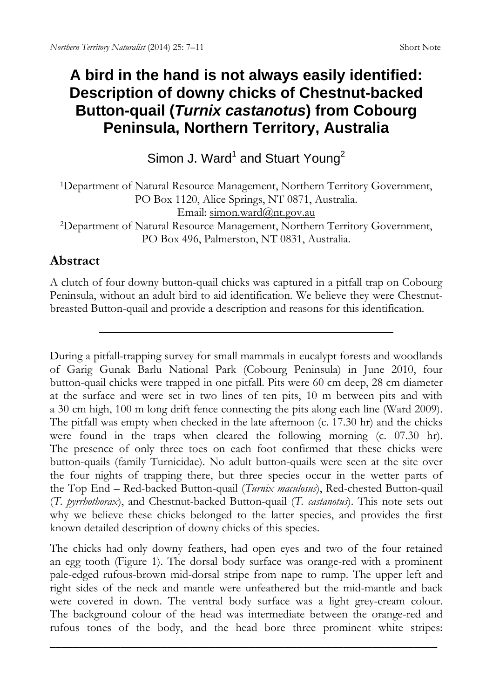# **A bird in the hand is not always easily identified: Description of downy chicks of Chestnut-backed Button-quail (***Turnix castanotus***) from Cobourg Peninsula, Northern Territory, Australia**

Simon J. Ward<sup>1</sup> and Stuart Young<sup>2</sup>

1Department of Natural Resource Management, Northern Territory Government, PO Box 1120, Alice Springs, NT 0871, Australia. Email: simon.ward@nt.gov.au

2Department of Natural Resource Management, Northern Territory Government, PO Box 496, Palmerston, NT 0831, Australia.

# **Abstract**

A clutch of four downy button-quail chicks was captured in a pitfall trap on Cobourg Peninsula, without an adult bird to aid identification. We believe they were Chestnutbreasted Button-quail and provide a description and reasons for this identification.

During a pitfall-trapping survey for small mammals in eucalypt forests and woodlands of Garig Gunak Barlu National Park (Cobourg Peninsula) in June 2010, four button-quail chicks were trapped in one pitfall. Pits were 60 cm deep, 28 cm diameter at the surface and were set in two lines of ten pits, 10 m between pits and with a 30 cm high, 100 m long drift fence connecting the pits along each line (Ward 2009). The pitfall was empty when checked in the late afternoon (c. 17.30 hr) and the chicks were found in the traps when cleared the following morning (c. 07.30 hr). The presence of only three toes on each foot confirmed that these chicks were button-quails (family Turnicidae). No adult button-quails were seen at the site over the four nights of trapping there, but three species occur in the wetter parts of the Top End – Red-backed Button-quail (*Turnix maculosus*), Red-chested Button-quail (*T. pyrrhothorax*), and Chestnut-backed Button-quail (*T. castanotus*). This note sets out why we believe these chicks belonged to the latter species, and provides the first known detailed description of downy chicks of this species.

The chicks had only downy feathers, had open eyes and two of the four retained an egg tooth (Figure 1). The dorsal body surface was orange-red with a prominent pale-edged rufous-brown mid-dorsal stripe from nape to rump. The upper left and right sides of the neck and mantle were unfeathered but the mid-mantle and back were covered in down. The ventral body surface was a light grey-cream colour. The background colour of the head was intermediate between the orange-red and rufous tones of the body, and the head bore three prominent white stripes: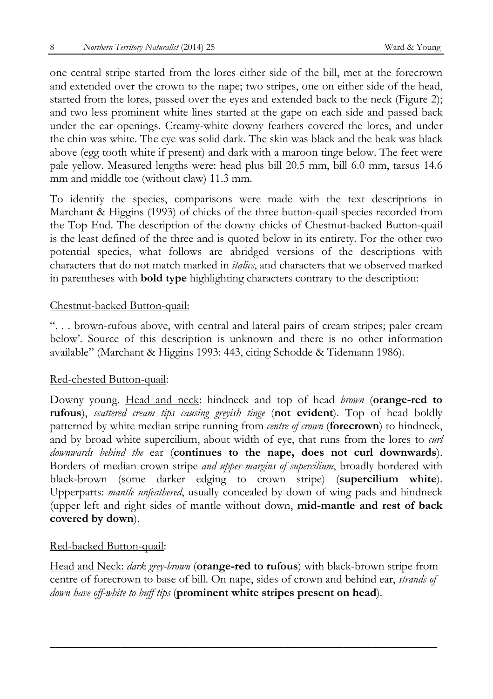one central stripe started from the lores either side of the bill, met at the forecrown and extended over the crown to the nape; two stripes, one on either side of the head, started from the lores, passed over the eyes and extended back to the neck (Figure 2); and two less prominent white lines started at the gape on each side and passed back under the ear openings. Creamy-white downy feathers covered the lores, and under the chin was white. The eye was solid dark. The skin was black and the beak was black above (egg tooth white if present) and dark with a maroon tinge below. The feet were pale yellow. Measured lengths were: head plus bill 20.5 mm, bill 6.0 mm, tarsus 14.6 mm and middle toe (without claw) 11.3 mm.

To identify the species, comparisons were made with the text descriptions in Marchant & Higgins (1993) of chicks of the three button-quail species recorded from the Top End. The description of the downy chicks of Chestnut-backed Button-quail is the least defined of the three and is quoted below in its entirety. For the other two potential species, what follows are abridged versions of the descriptions with characters that do not match marked in *italics*, and characters that we observed marked in parentheses with **bold type** highlighting characters contrary to the description:

### Chestnut-backed Button-quail:

". . . brown-rufous above, with central and lateral pairs of cream stripes; paler cream below'. Source of this description is unknown and there is no other information available" (Marchant & Higgins 1993: 443, citing Schodde & Tidemann 1986).

### Red-chested Button-quail:

Downy young. Head and neck: hindneck and top of head *brown* (**orange-red to rufous**), *scattered cream tips causing greyish tinge* (**not evident**). Top of head boldly patterned by white median stripe running from *centre of crown* (**forecrown**) to hindneck, and by broad white supercilium, about width of eye, that runs from the lores to *curl downwards behind the* ear (**continues to the nape, does not curl downwards**). Borders of median crown stripe *and upper margins of supercilium*, broadly bordered with black-brown (some darker edging to crown stripe) (**supercilium white**). Upperparts: *mantle unfeathered*, usually concealed by down of wing pads and hindneck (upper left and right sides of mantle without down, **mid-mantle and rest of back covered by down**).

#### Red-backed Button-quail:

Head and Neck: *dark grey-brown* (**orange-red to rufous**) with black-brown stripe from centre of forecrown to base of bill. On nape, sides of crown and behind ear, *strands of down have off-white to buff tips* (**prominent white stripes present on head**).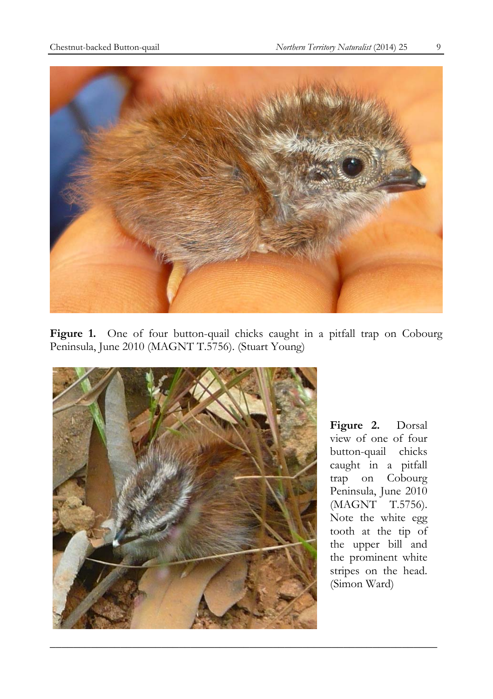

Figure 1. One of four button-quail chicks caught in a pitfall trap on Cobourg Peninsula, June 2010 (MAGNT T.5756). (Stuart Young)



**Figure 2.** Dorsal view of one of four button-quail chicks caught in a pitfall trap on Cobourg Peninsula, June 2010 (MAGNT T.5756). Note the white egg tooth at the tip of the upper bill and the prominent white stripes on the head. (Simon Ward)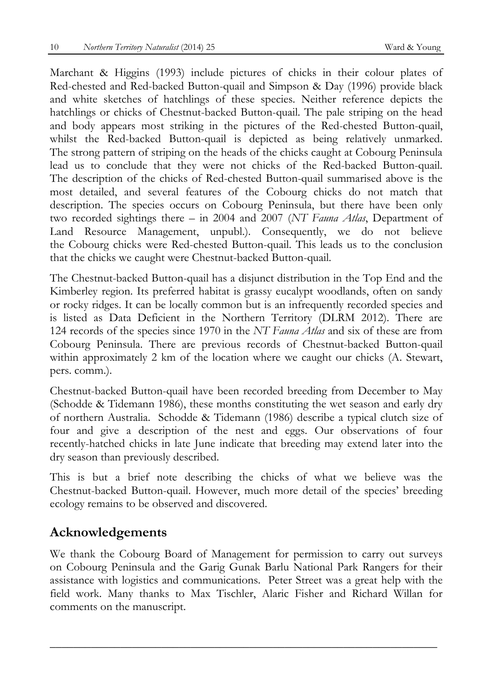Marchant & Higgins (1993) include pictures of chicks in their colour plates of Red-chested and Red-backed Button-quail and Simpson & Day (1996) provide black and white sketches of hatchlings of these species. Neither reference depicts the hatchlings or chicks of Chestnut-backed Button-quail. The pale striping on the head and body appears most striking in the pictures of the Red-chested Button-quail, whilst the Red-backed Button-quail is depicted as being relatively unmarked. The strong pattern of striping on the heads of the chicks caught at Cobourg Peninsula lead us to conclude that they were not chicks of the Red-backed Button-quail. The description of the chicks of Red-chested Button-quail summarised above is the most detailed, and several features of the Cobourg chicks do not match that description. The species occurs on Cobourg Peninsula, but there have been only two recorded sightings there – in 2004 and 2007 (*NT Fauna Atlas*, Department of Land Resource Management, unpubl.). Consequently, we do not believe the Cobourg chicks were Red-chested Button-quail. This leads us to the conclusion that the chicks we caught were Chestnut-backed Button-quail.

The Chestnut-backed Button-quail has a disjunct distribution in the Top End and the Kimberley region. Its preferred habitat is grassy eucalypt woodlands, often on sandy or rocky ridges. It can be locally common but is an infrequently recorded species and is listed as Data Deficient in the Northern Territory (DLRM 2012). There are 124 records of the species since 1970 in the *NT Fauna Atlas* and six of these are from Cobourg Peninsula. There are previous records of Chestnut-backed Button-quail within approximately 2 km of the location where we caught our chicks (A. Stewart, pers. comm.).

Chestnut-backed Button-quail have been recorded breeding from December to May (Schodde & Tidemann 1986), these months constituting the wet season and early dry of northern Australia. Schodde & Tidemann (1986) describe a typical clutch size of four and give a description of the nest and eggs. Our observations of four recently-hatched chicks in late June indicate that breeding may extend later into the dry season than previously described.

This is but a brief note describing the chicks of what we believe was the Chestnut-backed Button-quail. However, much more detail of the species' breeding ecology remains to be observed and discovered.

## **Acknowledgements**

We thank the Cobourg Board of Management for permission to carry out surveys on Cobourg Peninsula and the Garig Gunak Barlu National Park Rangers for their assistance with logistics and communications. Peter Street was a great help with the field work. Many thanks to Max Tischler, Alaric Fisher and Richard Willan for comments on the manuscript.